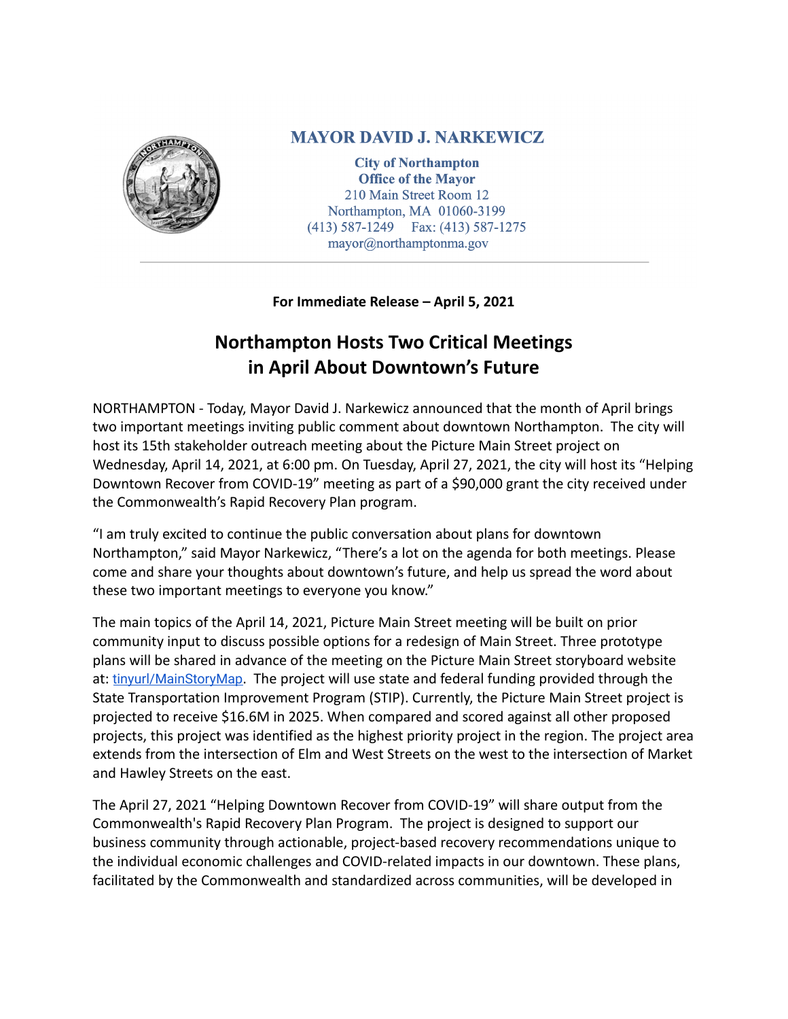

## **MAYOR DAVID J. NARKEWICZ**

**City of Northampton Office of the Mayor** 210 Main Street Room 12 Northampton, MA 01060-3199 (413) 587-1249 Fax: (413) 587-1275 mayor@northamptonma.gov

**For Immediate Release – April 5, 2021**

## **Northampton Hosts Two Critical Meetings in April About Downtown's Future**

NORTHAMPTON - Today, Mayor David J. Narkewicz announced that the month of April brings two important meetings inviting public comment about downtown Northampton. The city will host its 15th stakeholder outreach meeting about the Picture Main Street project on Wednesday, April 14, 2021, at 6:00 pm. On Tuesday, April 27, 2021, the city will host its "Helping Downtown Recover from COVID-19" meeting as part of a \$90,000 grant the city received under the Commonwealth's Rapid Recovery Plan program.

"I am truly excited to continue the public conversation about plans for downtown Northampton," said Mayor Narkewicz, "There's a lot on the agenda for both meetings. Please come and share your thoughts about downtown's future, and help us spread the word about these two important meetings to everyone you know."

The main topics of the April 14, 2021, Picture Main Street meeting will be built on prior community input to discuss possible options for a redesign of Main Street. Three prototype plans will be shared in advance of the meeting on the Picture Main Street storyboard website at: [tinyurl/MainStoryMap](https://tinyurl.com/mainstorymap). The project will use state and federal funding provided through the State Transportation Improvement Program (STIP). Currently, the Picture Main Street project is projected to receive \$16.6M in 2025. When compared and scored against all other proposed projects, this project was identified as the highest priority project in the region. The project area extends from the intersection of Elm and West Streets on the west to the intersection of Market and Hawley Streets on the east.

The April 27, 2021 "Helping Downtown Recover from COVID-19" will share output from the Commonwealth's Rapid Recovery Plan Program. The project is designed to support our business community through actionable, project-based recovery recommendations unique to the individual economic challenges and COVID-related impacts in our downtown. These plans, facilitated by the Commonwealth and standardized across communities, will be developed in